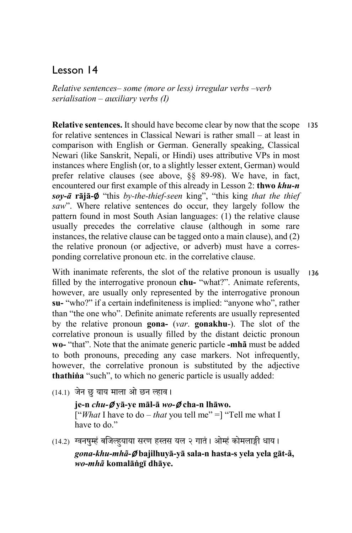# Lesson 14

*Relative sentences– some (more or less) irregular verbs –verb serialisation – auxiliary verbs (I)*

**Relative sentences.** It should have become clear by now that the scope 135 for relative sentences in Classical Newari is rather small – at least in comparison with English or German. Generally speaking, Classical Newari (like Sanskrit, Nepali, or Hindi) uses attributive VPs in most instances where English (or, to a slightly lesser extent, German) would prefer relative clauses (see above, §§ 89-98). We have, in fact, encountered our first example of this already in Lesson 2: **thwo** *khu-n soy-ā* **rājā-**∅ "this *by-the-thief-seen* king", "this king *that the thief saw*". Where relative sentences do occur, they largely follow the pattern found in most South Asian languages: (1) the relative clause usually precedes the correlative clause (although in some rare instances, the relative clause can be tagged onto a main clause), and (2) the relative pronoun (or adjective, or adverb) must have a corresponding correlative pronoun etc. in the correlative clause.

With inanimate referents, the slot of the relative pronoun is usually filled by the interrogative pronoun **chu-** "what?". Animate referents, however, are usually only represented by the interrogative pronoun **su-** "who?" if a certain indefiniteness is implied: "anyone who", rather than "the one who". Definite animate referents are usually represented by the relative pronoun **gona-** (*var*. **gonakhu**-). The slot of the correlative pronoun is usually filled by the distant deictic pronoun **wo-** "that". Note that the animate generic particle **-mhã** must be added to both pronouns, preceding any case markers. Not infrequently, however, the correlative pronoun is substituted by the adjective **thathiṅa** "such", to which no generic particle is usually added: 136

- $(14.1)$  जेन छु याय माला ओ छन ल्हाव।
	- **je-n** *chu-*∅ **yā-ye māl-ā** *wo-*∅ **cha-n lhāwo.**  ["*What* I have to do – *that* you tell me" =] "Tell me what I have to do."
- (14.2) ग्वनषुम्हं बजिल्हुयाया सरण हस्तस यल २ गातं । ओम्हं कोमलाङ्गी धाय । *gona-khu-mhã-*∅ **bajilhuyā-yā sala-n hasta-s yela yela gāt-ã,**  *wo-mhã* **komalāṅgī dhāye.**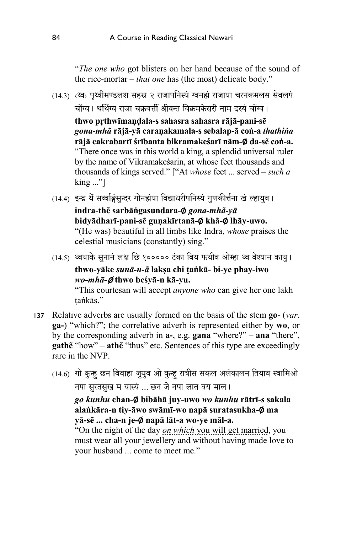"*The one who* got blisters on her hand because of the sound of the rice-mortar – *that one* has (the most) delicate body."

(14.3) <थ्व> पृथ्वीमण्डलश सहस्र २ राजापनिस्यं ग्वनह्यं राजाया चरनकमलस सेवलपं चोंग्व। थथिंग्व राजा चक्रवर्त्ती श्रीवन्त विक्रमकेसरी नाम दस्यं चोंग्व।

**thwo pṛthwīmaṇḍala-s sahasra sahasra rājā-pani-sẽ**  *gona-mhã* **rājā-yā caraṇakamala-s sebalap-ã coṅ-a** *thathiṅa* **rājā cakrabartī śrībanta bikramakeśarī nām-**∅ **da-sẽ coṅ-a.**  "There once was in this world a king, a splendid universal ruler by the name of Vikramakeśarin, at whose feet thousands and thousands of kings served." ["At *whose* feet ... served – *such a* king ..."]

(14.4) इन्द्र थें सर्व्वाङ्गंसन्दर गोनह्मंया विद्याधरीपनिस्यं गणकीर्त्तना खं ल्हायव।

**indra-thẽ sarbāṅgasundara-**∅ *gona-mhã-yā* **bidyādharī-pani-sẽ guṇakīrtanā-**∅ **khã-**∅ **lhāy-uwo.** "(He was) beautiful in all limbs like Indra, *whose* praises the celestial musicians (constantly) sing."

(14.5) थ्वयाके सुनानं लक्ष छि १००००० टंका बिय फयीव ओम्हा थ्व वेश्यान काय। **thwo-yāke** *sunā-n-ã* **lakṣa chi ṭaṅkā- bi-ye phay-iwo**  *wo-mhā-*∅ **thwo beśyā-n kā-yu.**

"This courtesan will accept *anyone who* can give her one lakh taṅkās."

- Relative adverbs are usually formed on the basis of the stem **go** (*var*. 137**ga-**) "which?"; the correlative adverb is represented either by **wo**, or by the corresponding adverb in **a-**, e.g. **gana** "where?" – **ana** "there", **gathẽ** "how" – **athẽ** "thus" etc. Sentences of this type are exceedingly rare in the NVP.
	- (14.6) गो कुन्ह छन विवाहा जुयुव ओ कुन्ह रात्रीस सकल अलंकालन तियाव स्वामिओ नपा सुरतसुख म यास्यं ... छन जे नपा लात वय माल।

*go kunhu* **chan-**∅ **bibāhā juy-uwo** *wo kunhu* **rātrī-s sakala alaṅkāra-n tiy-āwo swāmī-wo napā suratasukha-**∅ **ma yā-sẽ ... cha-n je-**∅ **napā lāt-a wo-ye māl-a.** 

"On the night of the day *on which* you will get married, you must wear all your jewellery and without having made love to your husband ... come to meet me."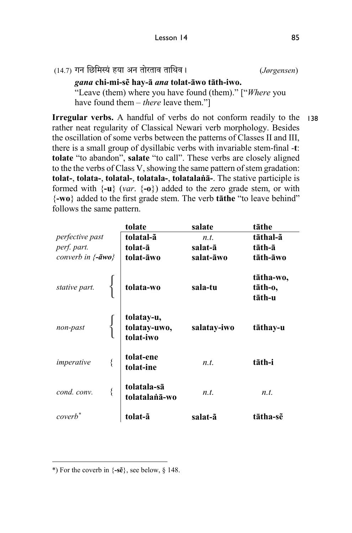*gana* **chi-mi-sẽ hay-ā** *ana* **tolat-āwo tāth-iwo.** "Leave (them) where you have found (them)." ["*Where* you have found them – *there* leave them."]

**Irregular verbs.** A handful of verbs do not conform readily to the 138rather neat regularity of Classical Newari verb morphology. Besides the oscillation of some verbs between the patterns of Classes II and III, there is a small group of dysillabic verbs with invariable stem-final -**t**: **tolate** "to abandon", **salate** "to call". These verbs are closely aligned to the the verbs of Class V, showing the same pattern of stem gradation: **tolat-**, **tolata-**, **tolatal-**, **tolatala-**, **tolatalaṅā-**. The stative participle is formed with  $\{-\mathbf{u}\}\$  (*var*.  $\{-\mathbf{o}\}\$ ) added to the zero grade stem, or with {**-wo**} added to the first grade stem. The verb **tāthe** "to leave behind" follows the same pattern.

|                             | tolate                                  | salate      | tāthe                          |
|-----------------------------|-----------------------------------------|-------------|--------------------------------|
| perfective past             | tolatal-ã                               | n.t.        | tāthal-ã                       |
| perf. part.                 | tolat-ā                                 | salat-ā     | tāth-ā                         |
| converb in $\{-\bar{a}wo\}$ | tolat-āwo                               | salat-āwo   | tāth-āwo                       |
| stative part.               | tolata-wo                               | sala-tu     | tātha-wo,<br>tāth-o,<br>tāth-u |
| non-past                    | tolatay-u,<br>tolatay-uwo,<br>tolat-iwo | salatay-iwo | tāthay-u                       |
| imperative                  | tolat-ene<br>tolat-ine                  | n.t.        | tāth-i                         |
| cond. conv.                 | tolatala-sā<br>tolatalanā-wo            | n.t.        | n.t.                           |
| coverb <sup>*</sup>         |                                         | salat-ã     | tātha-sẽ                       |

 $\ddot{\phantom{a}}$ \*) For the coverb in {**-sẽ**}, see below, § 148.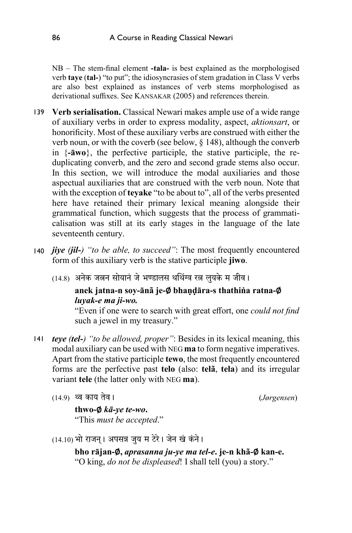NB – The stem-final element **-tala-** is best explained as the morphologised verb **taye** (**tal-**) "to put"; the idiosyncrasies of stem gradation in Class V verbs are also best explained as instances of verb stems morphologised as derivational suffixes. See KANSAKAR (2005) and references therein.

- **Verb serialisation.** Classical Newari makes ample use of a wide range 139 of auxiliary verbs in order to express modality, aspect, *aktionsart*, or honorificity. Most of these auxiliary verbs are construed with either the verb noun, or with the coverb (see below, § 148), although the converb in {**-āwo**}, the perfective participle, the stative participle, the reduplicating converb, and the zero and second grade stems also occur. In this section, we will introduce the modal auxiliaries and those aspectual auxiliaries that are construed with the verb noun. Note that with the exception of **teyake** "to be about to", all of the verbs presented here have retained their primary lexical meaning alongside their grammatical function, which suggests that the process of grammaticalisation was still at its early stages in the language of the late seventeenth century.
- 140 *jiye (jil-) "to be able, to succeed"*: The most frequently encountered form of this auxiliary verb is the stative participle **jiwo**.
	- (14.8) अनेक जलन सोयानं जे भण्डालस थथिंग्व रल लुयके म जीव।

## **anek jatna-n soy-ānã je-**∅ **bhaṇḍāra-s thathiṅa ratna-**∅ *luyak-e ma ji-wo.*

"Even if one were to search with great effort, one *could not find* such a jewel in my treasury."

- *teye (tel-) "to be allowed, proper"*: Besides in its lexical meaning, this modal auxiliary can be used with NEG **ma** to form negative imperatives. Apart from the stative participle **tewo**, the most frequently encountered forms are the perfective past **telo** (also: **telã**, **tela**) and its irregular variant **tele** (the latter only with NEG **ma**). 141
	- (14.9) � काय तेवר) *Jørgensen*)

**thwo-**∅ *kā-ye te-wo***.**  "This *must be accepted*."

 $(14.10)$  भो राजन। अपसन्न जुय म टेरे। जेन खं कंने।

**bho rājan-**∅**,** *aprasanna ju-ye ma tel-e***. je-n khã-**∅ **kan-e.** "O king, *do not be displeased*! I shall tell (you) a story."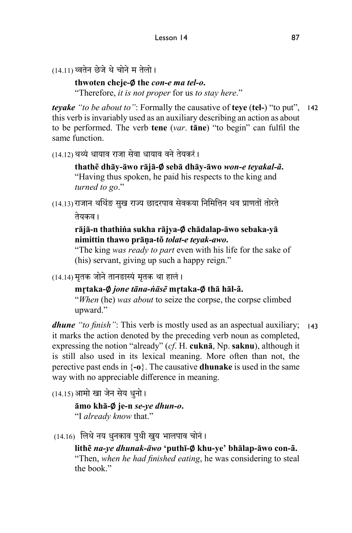```
(14.11)थ्वतेन छेजे थे चोने म तेलो।
```
**thwoten cheje-**∅ **the** *con-e ma tel-o***.** 

"Therefore, *it is not proper* for us *to stay here*."

*teyake "to be about to"*: Formally the causative of **teye** (**tel-**) "to put", 142 this verb is invariably used as an auxiliary describing an action as about to be performed. The verb **tene** (*var*. **tāne**) "to begin" can fulfil the same function.

(14.12) थथ्यं धायाव राजा सेवा धायाव वने तेयकरं।

**thathẽ dhāy-āwo rājā-**∅ **sebā dhāy-āwo** *won-e teyakal-ã***.**  "Having thus spoken, he paid his respects to the king and *turned to go*."

(14.13)राजान थर्थिङ सुख राज्य छादरपाव सेवकया निर्मित्तिन थव प्राणतों तोरते तेयकव ।

> **rājā-n thathiṅa sukha rājya-**∅ **chādalap-āwo sebaka-yā nimittin thawo prāṇa-tõ** *tolat-e teyak-awo***.**

"The king *was ready to part* even with his life for the sake of (his) servant, giving up such a happy reign."

 $(14.14)$  मृतक जोने तानङास्यं मृतक था हालं।

**mṛtaka-**∅ *jone tāna-ṅāsẽ* **mṛtaka-**∅ **thā hāl-ã.**  "*When* (he) *was about* to seize the corpse, the corpse climbed upward."

*dhune "to finish"*: This verb is mostly used as an aspectual auxiliary; 143it marks the action denoted by the preceding verb noun as completed, expressing the notion "already" (*cf*. H. **cuknā**, Np. **saknu**), although it is still also used in its lexical meaning. More often than not, the perective past ends in {**-o**}. The causative **dhunake** is used in the same way with no appreciable difference in meaning.

 $(14.15)$  आमो खा जेन सेय धुनो।

**āmo khā-**∅ **je-n** *se-ye dhun-o***.**  "I *already know* that."

 $(14.16)$  लिथे नय धुनकाव पुथी खुय भालपाव चोनं।

**lithẽ** *na-ye dhunak-āwo* **'puthī-**∅ **khu-ye' bhālap-āwo con-ã.**  "Then, *when he had finished eating*, he was considering to steal the book."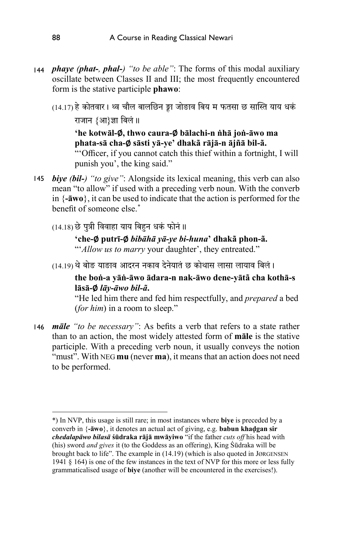- 144 *phaye (phat-, phal-) "to be able"*: The forms of this modal auxiliary oscillate between Classes II and III; the most frequently encountered form is the stative participle **phawo**:
	- (14.17) हे कोतवार। थ्व चौल बालछिन ङ्वा जोङाव बिय म फतसा छ सास्ति याय धकं राजान {आ}ज्ञा बिलं ॥

**'he kotwāl-**∅**, thwo caura-**∅ **bālachi-n ṅhā joṅ-āwo ma phata-sā cha-**∅ **sāsti yā-ye' dhakã rājā-n ājñā bil-ã.** 

"'Officer, if you cannot catch this thief within a fortnight, I will punish you', the king said."

- *biye (bil-) "to give"*: Alongside its lexical meaning, this verb can also 145mean "to allow" if used with a preceding verb noun. With the converb in {**-āwo**}, it can be used to indicate that the action is performed for the benefit of someone else.\*
	- (14.18) छे पुत्री विवाहा याय बिहन धकं फोनं ॥

# **'che-**∅ **putrī-**∅ *bibāhā yā-ye bi-huna***' dhakã phon-ã.**  "'*Allow us to marry* your daughter', they entreated."

 $(14.19)$  थे बोङ याङाव आदरन नकाव देनेयातं छ कोथास लासा लायाव बिलं।

#### **the boṅ-a yāṅ-āwo ādara-n nak-āwo dene-yātã cha kothā-s lāsā-**∅ *lāy-āwo bil-ã***.**

"He led him there and fed him respectfully, and *prepared* a bed (*for him*) in a room to sleep."

*māle "to be necessary"*: As befits a verb that refers to a state rather 146 than to an action, the most widely attested form of **māle** is the stative participle. With a preceding verb noun, it usually conveys the notion "must". With NEG **mu** (never **ma**), it means that an action does not need to be performed.

 $\overline{a}$ 

<sup>\*)</sup> In NVP, this usage is still rare; in most instances where **biye** is preceded by a converb in {**-āwo**}, it denotes an actual act of giving, e.g. **babun khaḍgan sir**  *chedalapāwo bilasā* **śūdraka rājā mwāyiwo** "if the father *cuts off* his head with (his) sword *and gives* it (to the Goddess as an offering), King Śūdraka will be brought back to life". The example in (14.19) (which is also quoted in JØRGENSEN 1941 § 164) is one of the few instances in the text of NVP for this more or less fully grammaticalised usage of **biye** (another will be encountered in the exercises!).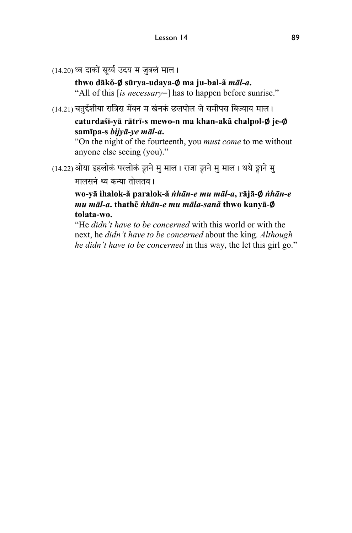(14.20) थ्व दाकों सूर्य्य उदय म जुबलं माल।

**thwo dākõ-**∅ **sūrya-udaya-**∅ **ma ju-bal-ã** *māl-a***.** 

"All of this [*is necessary*=] has to happen before sunrise."

 $(14.21)$  चतुईशीया रात्रिस मेंवन म खंनकं छलपोल जे समीपस बिज्याय माल।

**caturdaśī-yā rātrī-s mewo-n ma khan-akã chalpol-**∅ **je-**∅ **samīpa-s** *bijyā-ye māl-a***.** 

"On the night of the fourteenth, you *must come* to me without anyone else seeing (you)."

(14.22) ओया इहलोकं परलोकं ङ्वाने मु माल। राजा ङ्वाने मु माल। थथे ङ्वाने मु

मालसनं थ्व कन्या तोलतव ।

**wo-yā ihalok-ã paralok-ã** *ṅhān-e mu māl-a***, rājā-**∅ *ṅhān-e mu māl-a***. thathẽ** *ṅhān-e mu māla-sanã* **thwo kanyā-**∅ **tolata-wo.** 

"He *didn't have to be concerned* with this world or with the next, he *didn't have to be concerned* about the king. *Although he didn't have to be concerned* in this way, the let this girl go."